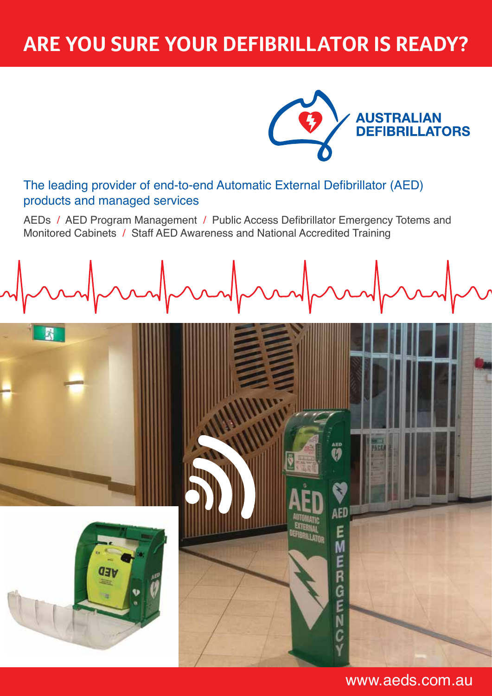# **are you sure your defibrillator is READY?**



aed<br>**V)** 

AED

Е M

R

G<br>E

The leading provider of end-to-end Automatic External Defibrillator (AED) products and managed services

AEDs / AED Program Management / Public Access Defibrillator Emergency Totems and Monitored Cabinets / Staff AED Awareness and National Accredited Training





www.aeds.com.au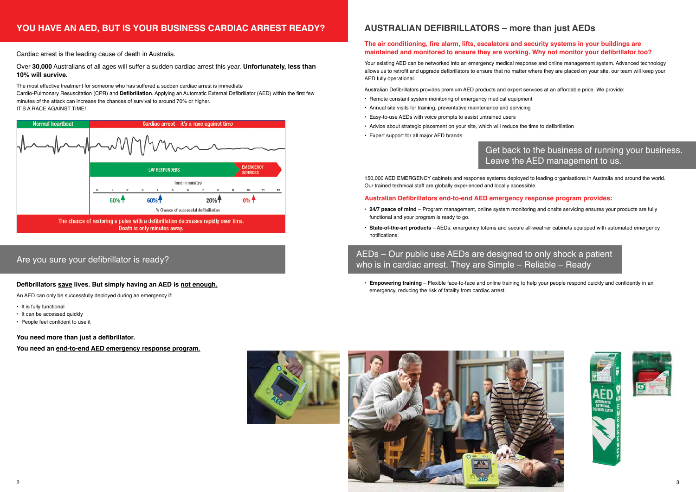Cardiac arrest is the leading cause of death in Australia.

The most effective treatment for someone who has suffered a sudden cardiac arrest is immediate Cardio-Pulmonary Resuscitation (CPR) and **Defibrillation**. Applying an Automatic External Defibrillator (AED) within the first few minutes of the attack can increase the chances of survival to around 70% or higher. IT'S A RACE AGAINST TIME!



Over **30,000** Australians of all ages will suffer a sudden cardiac arrest this year. **Unfortunately, less than 10% will survive.** 

#### **Defibrillators save lives. But simply having an AED is not enough.**

An AED can only be successfully deployed during an emergency if:

- It is fully functional
- It can be accessed quickly
- People feel confident to use it

**You need more than just a defibrillator.** 

**You need an end-to-end AED emergency response program.**



## **YOU HAVE AN AED, BUT IS YOUR BUSINESS CARDIAC ARREST READY?**

## Are you sure your defibrillator is ready?

- 
- 

### **The air conditioning, fire alarm, lifts, escalators and security systems in your buildings are maintained and monitored to ensure they are working. Why not monitor your defibrillator too?**

Your existing AED can be networked into an emergency medical response and online management system. Advanced technology allows us to retrofit and upgrade defibrillators to ensure that no matter where they are placed on your site, our team will keep your AED fully operational.

## Get back to the business of running your business. Leave the AED management to us.





Australian Defibrillators provides premium AED products and expert services at an affordable price. We provide:

- Remote constant system monitoring of emergency medical equipment
- Annual site visits for training, preventative maintenance and servicing
- Easy-to-use AEDs with voice prompts to assist untrained users
- Advice about strategic placement on your site, which will reduce the time to defibrillation
- Expert support for all major AED brands



150,000 AED EMERGENCY cabinets and response systems deployed to leading organisations in Australia and around the world. Our trained technical staff are globally experienced and locally accessible.

### **Australian Defibrillators end-to-end AED emergency response program provides:**

- **24/7 peace of mind** Program management, online system monitoring and onsite servicing ensures your products are fully functional and your program is ready to go.
- **State-of-the-art products** AEDs, emergency totems and secure all-weather cabinets equipped with automated emergency notifications.

• **Empowering training** – Flexible face-to-face and online training to help your people respond quickly and confidently in an emergency, reducing the risk of fatality from cardiac arrest.



## AEDs – Our public use AEDs are designed to only shock a patient who is in cardiac arrest. They are Simple – Reliable – Ready

## **AUSTRALIAN DEFIBRILLATORS – more than just AEDs**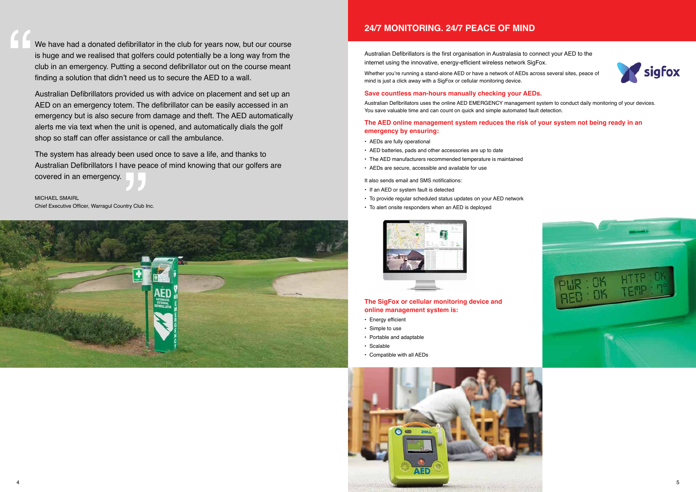We have had a donated defibrillator in the club for years now, but our course is huge and we realised that golfers could potentially be a long way from the club in an emergency. Putting a second defibrillator out on the course meant finding a solution that didn't need us to secure the AED to a wall.

Australian Defibrillators provided us with advice on placement and set up an AED on an emergency totem. The defibrillator can be easily accessed in an emergency but is also secure from damage and theft. The AED automatically alerts me via text when the unit is opened, and automatically dials the golf shop so staff can offer assistance or call the ambulance.

Whether you're running a stand-alone AED or have a network of AEDs across several sites, peace of mind is just a click away with a SigFox or cellular monitoring device.

The system has already been used once to save a life, and thanks to Australian Defibrillators I have peace of mind knowing that our golfers are covered in an emergency.

Michael Smairl Chief Executive Officer, Warragul Country Club Inc.

"<br>"<br>"









Australian Defibrillators is the first organisation in Australasia to connect your AED to the internet using the innovative, energy-efficient wireless network SigFox.

#### **Save countless man-hours manually checking your AEDs.**

Australian Defibrillators uses the online AED EMERGENCY management system to conduct daily monitoring of your devices. You save valuable time and can count on quick and simple automated fault detection.

#### **The AED online management system reduces the risk of your system not being ready in an emergency by ensuring:**

- AEDs are fully operational
- AED batteries, pads and other accessories are up to date
- The AED manufacturers recommended temperature is maintained
- AEDs are secure, accessible and available for use

It also sends email and SMS notifications:

- If an AED or system fault is detected
- To provide regular scheduled status updates on your AED network
- To alert onsite responders when an AED is deployed



### **The SigFox or cellular monitoring device and online management system is:**

- Energy efficient
- Simple to use
- Portable and adaptable
- Scalable
- Compatible with all AEDs



## **24/7 MONITORING. 24/7 PEACE OF MIND**